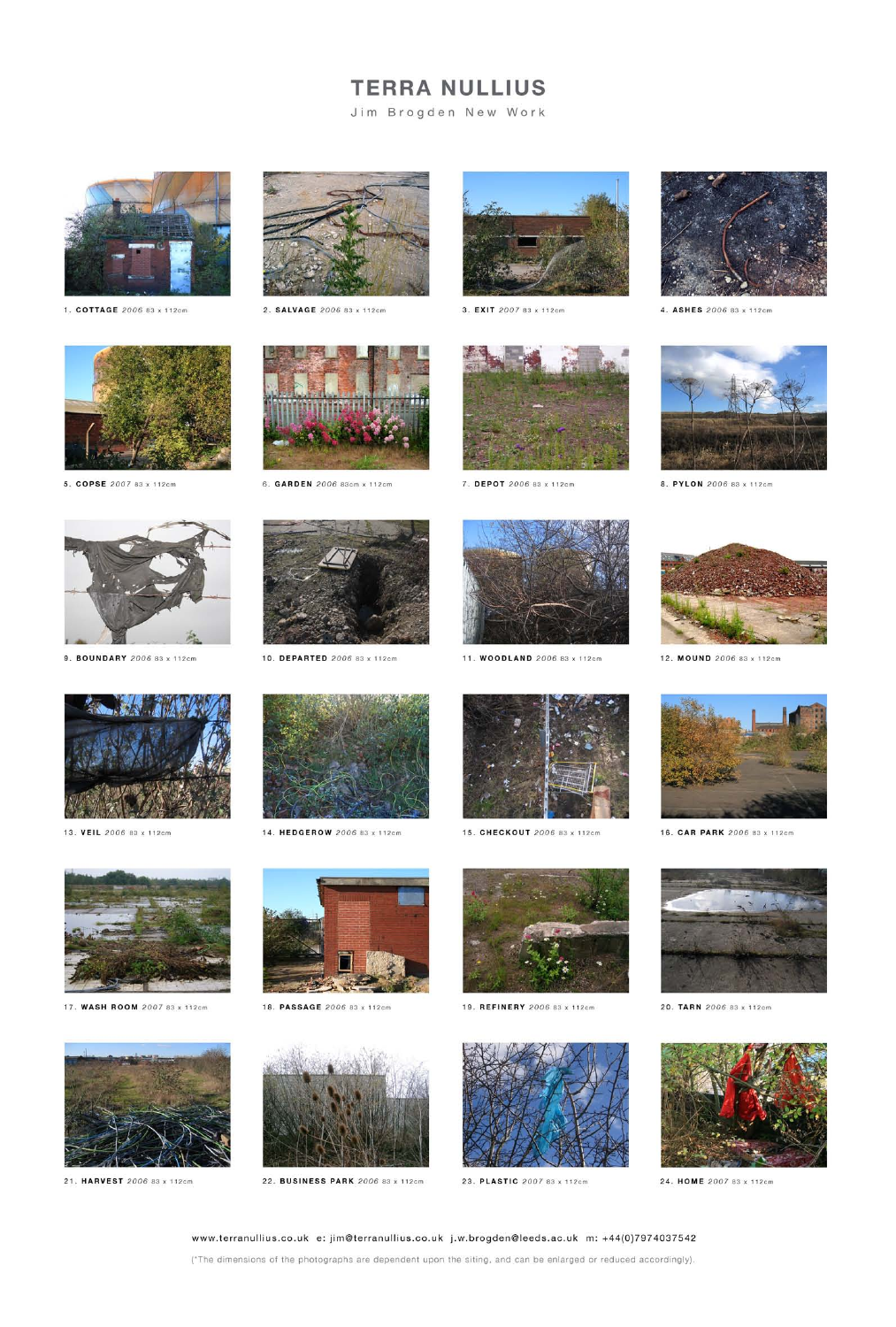# **TERRA NULLIUS**

Jim Brogden New Work



1. COTTAGE 2006 83 x 112cm



2. SALVAGE 2006 83 x 112cm



3. EXIT 2007 83 x 112cm



4. ASHES 2006 83 x 112cm



5. COPSE 2007 83 x 112cm



6. GARDEN 2006 83cm x 112cm



7. DEPOT 2006 83 x 112cm



8. PYLON 2006 83 x 112cm



9. BOUNDARY 2006 83 x 112cm



10. DEPARTED 2006 83 x 112cm



11. WOODLAND 2006 83 x 112cm





13. VEIL 2006 83 x 112cm



14. HEDGEROW 2006 83 x 112cm



15. CHECKOUT 2006 83 x 112cm



19. REFINERY 2006 83 x 112cm



16. CAR PARK 2006 83 x 112cm



20. TARN 2006 83 x 112cm



17. WASH ROOM 2007 83 x 112cm



18. PASSAGE 2006 83 x 112cm















21. HARVEST 2006 83 x 112cm

22. BUSINESS PARK 2006 83 x 112cm

23. PLASTIC 2007 83 x 112cm

24. HOME 2007 83 x 112cm

#### www.terranullius.co.uk e: jim@terranullius.co.uk j.w.brogden@leeds.ac.uk m: +44(0)7974037542

(\*The dimensions of the photographs are dependent upon the siting, and can be enlarged or reduced accordingly).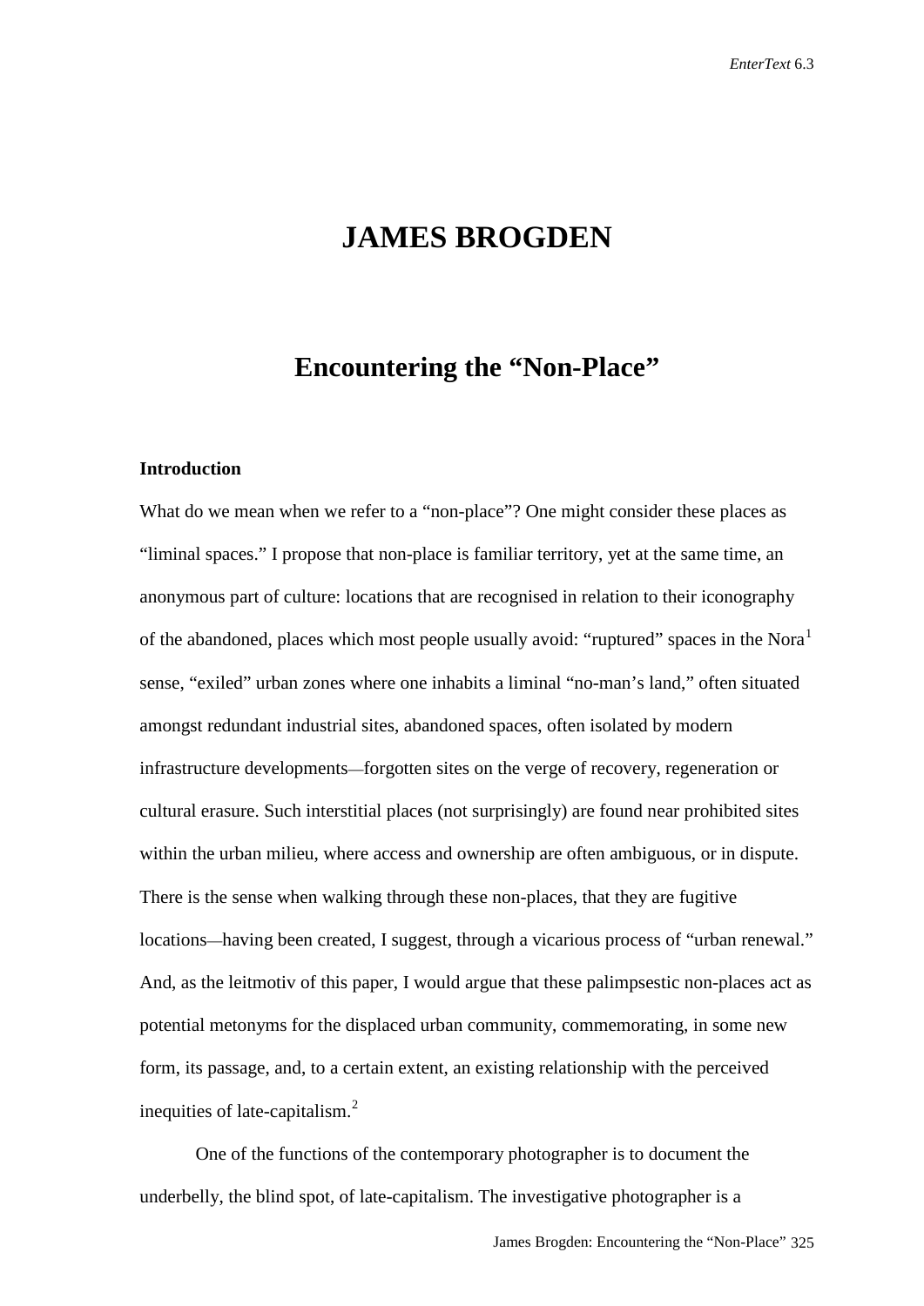## **JAMES BROGDEN**

### **Encountering the "Non-Place"**

#### **Introduction**

What do we mean when we refer to a "non-place"? One might consider these places as "liminal spaces." I propose that non-place is familiar territory, yet at the same time, an anonymous part of culture: locations that are recognised in relation to their iconography of the abandoned, places which most people usually avoid: "ruptured" spaces in the Nora<sup>[1](#page-15-0)</sup> sense, "exiled" urban zones where one inhabits a liminal "no-man's land," often situated amongst redundant industrial sites, abandoned spaces, often isolated by modern infrastructure developments—forgotten sites on the verge of recovery, regeneration or cultural erasure. Such interstitial places (not surprisingly) are found near prohibited sites within the urban milieu, where access and ownership are often ambiguous, or in dispute. There is the sense when walking through these non-places, that they are fugitive locations—having been created, I suggest, through a vicarious process of "urban renewal." And, as the leitmotiv of this paper, I would argue that these palimpsestic non-places act as potential metonyms for the displaced urban community, commemorating, in some new form, its passage, and, to a certain extent, an existing relationship with the perceived inequities of late-capitalism.[2](#page-15-1)

One of the functions of the contemporary photographer is to document the underbelly, the blind spot, of late-capitalism. The investigative photographer is a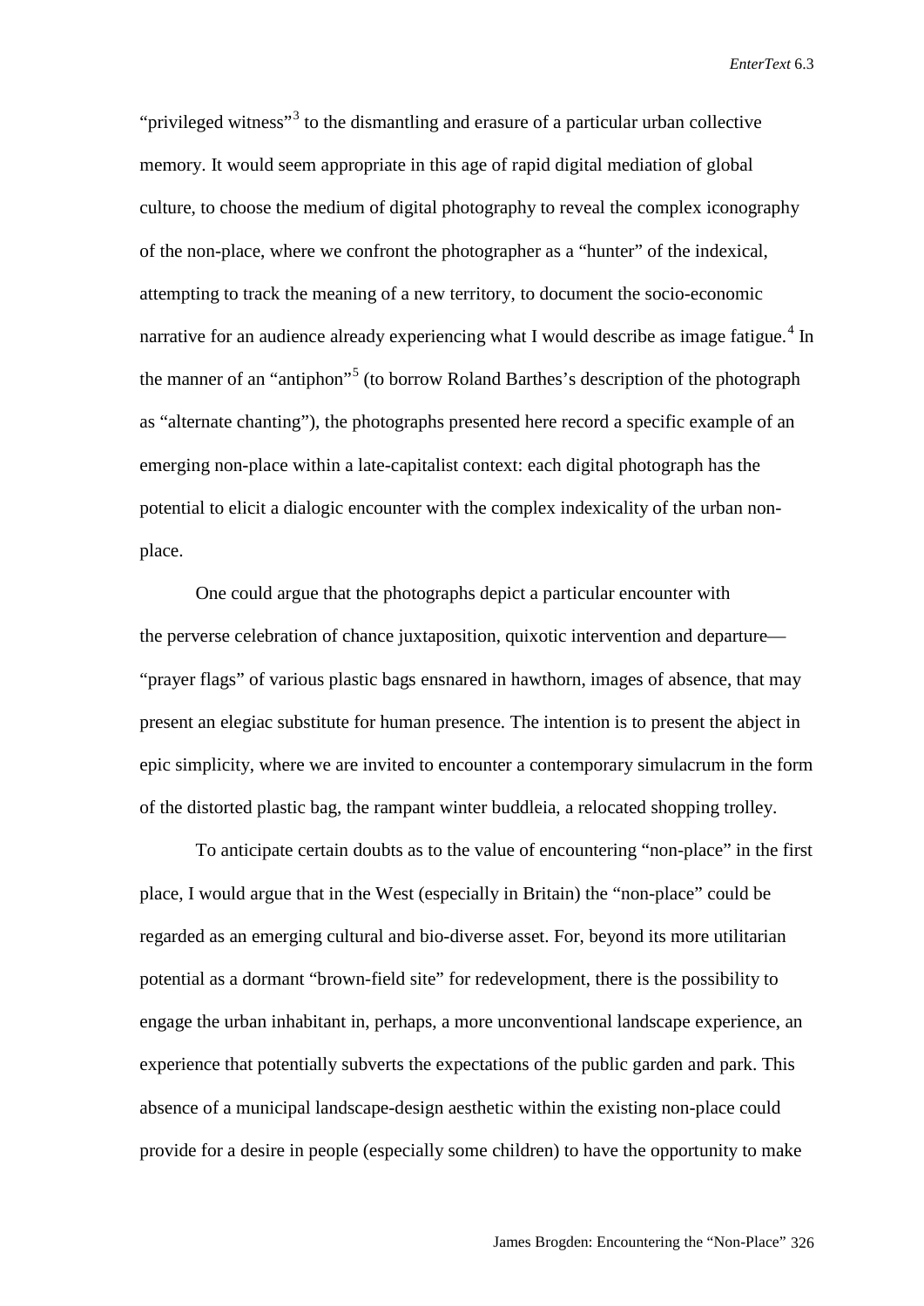"privileged witness"[3](#page-16-0) to the dismantling and erasure of a particular urban collective memory. It would seem appropriate in this age of rapid digital mediation of global culture, to choose the medium of digital photography to reveal the complex iconography of the non-place, where we confront the photographer as a "hunter" of the indexical, attempting to track the meaning of a new territory, to document the socio-economic narrative for an audience already experiencing what I would describe as image fatigue.<sup>[4](#page-16-1)</sup> In the manner of an "antiphon"<sup>[5](#page-16-2)</sup> (to borrow Roland Barthes's description of the photograph as "alternate chanting")*,* the photographs presented here record a specific example of an emerging non-place within a late-capitalist context: each digital photograph has the potential to elicit a dialogic encounter with the complex indexicality of the urban nonplace.

One could argue that the photographs depict a particular encounter with the perverse celebration of chance juxtaposition, quixotic intervention and departure— "prayer flags" of various plastic bags ensnared in hawthorn, images of absence, that may present an elegiac substitute for human presence. The intention is to present the abject in epic simplicity, where we are invited to encounter a contemporary simulacrum in the form of the distorted plastic bag, the rampant winter buddleia, a relocated shopping trolley.

To anticipate certain doubts as to the value of encountering "non-place" in the first place, I would argue that in the West (especially in Britain) the "non-place" could be regarded as an emerging cultural and bio-diverse asset. For, beyond its more utilitarian potential as a dormant "brown-field site" for redevelopment, there is the possibility to engage the urban inhabitant in, perhaps, a more unconventional landscape experience, an experience that potentially subverts the expectations of the public garden and park. This absence of a municipal landscape-design aesthetic within the existing non-place could provide for a desire in people (especially some children) to have the opportunity to make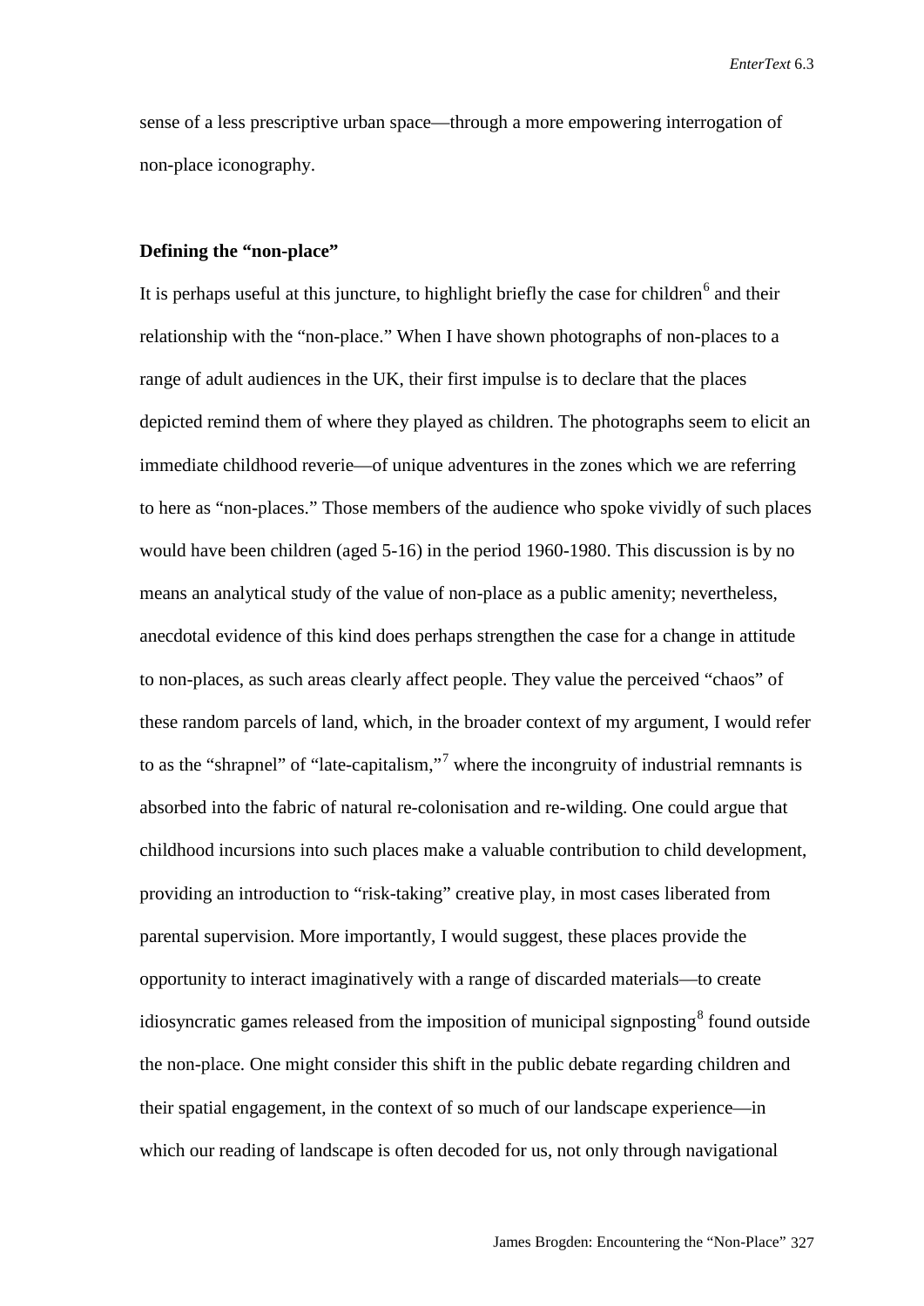sense of a less prescriptive urban space—through a more empowering interrogation of non-place iconography.

#### **Defining the "non-place"**

It is perhaps useful at this juncture, to highlight briefly the case for children<sup>[6](#page-16-3)</sup> and their relationship with the "non-place." When I have shown photographs of non-places to a range of adult audiences in the UK, their first impulse is to declare that the places depicted remind them of where they played as children. The photographs seem to elicit an immediate childhood reverie—of unique adventures in the zones which we are referring to here as "non-places." Those members of the audience who spoke vividly of such places would have been children (aged 5-16) in the period 1960-1980. This discussion is by no means an analytical study of the value of non-place as a public amenity; nevertheless, anecdotal evidence of this kind does perhaps strengthen the case for a change in attitude to non-places, as such areas clearly affect people. They value the perceived "chaos" of these random parcels of land, which, in the broader context of my argument, I would refer to as the "shrapnel" of "late-capitalism,"<sup>[7](#page-16-4)</sup> where the incongruity of industrial remnants is absorbed into the fabric of natural re-colonisation and re-wilding. One could argue that childhood incursions into such places make a valuable contribution to child development, providing an introduction to "risk-taking" creative play, in most cases liberated from parental supervision. More importantly, I would suggest, these places provide the opportunity to interact imaginatively with a range of discarded materials—to create idiosyncratic games released from the imposition of municipal signposting $\frac{8}{3}$  $\frac{8}{3}$  $\frac{8}{3}$  found outside the non-place. One might consider this shift in the public debate regarding children and their spatial engagement, in the context of so much of our landscape experience—in which our reading of landscape is often decoded for us, not only through navigational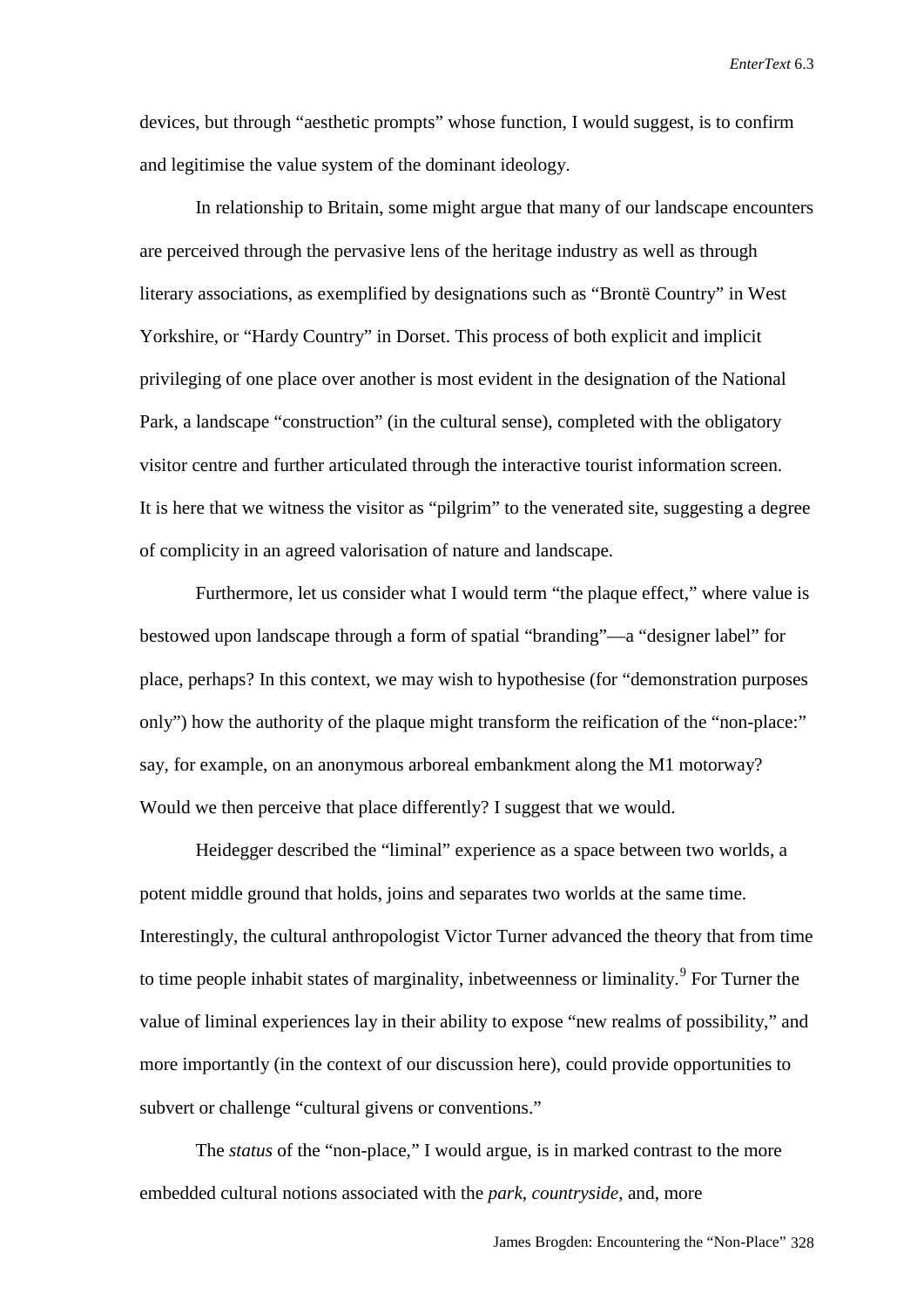devices, but through "aesthetic prompts" whose function, I would suggest, is to confirm and legitimise the value system of the dominant ideology.

In relationship to Britain, some might argue that many of our landscape encounters are perceived through the pervasive lens of the heritage industry as well as through literary associations, as exemplified by designations such as "Brontë Country" in West Yorkshire, or "Hardy Country" in Dorset. This process of both explicit and implicit privileging of one place over another is most evident in the designation of the National Park, a landscape "construction" (in the cultural sense), completed with the obligatory visitor centre and further articulated through the interactive tourist information screen. It is here that we witness the visitor as "pilgrim" to the venerated site, suggesting a degree of complicity in an agreed valorisation of nature and landscape.

Furthermore, let us consider what I would term "the plaque effect," where value is bestowed upon landscape through a form of spatial "branding"—a "designer label" for place, perhaps? In this context, we may wish to hypothesise (for "demonstration purposes only") how the authority of the plaque might transform the reification of the "non-place:" say, for example, on an anonymous arboreal embankment along the M1 motorway? Would we then perceive that place differently? I suggest that we would.

Heidegger described the "liminal" experience as a space between two worlds, a potent middle ground that holds, joins and separates two worlds at the same time. Interestingly, the cultural anthropologist Victor Turner advanced the theory that from time to time people inhabit states of marginality, inbetweenness or liminality.<sup>[9](#page-16-6)</sup> For Turner the value of liminal experiences lay in their ability to expose "new realms of possibility," and more importantly (in the context of our discussion here), could provide opportunities to subvert or challenge "cultural givens or conventions."

The *status* of the "non-place," I would argue, is in marked contrast to the more embedded cultural notions associated with the *park*, *countryside*, and, more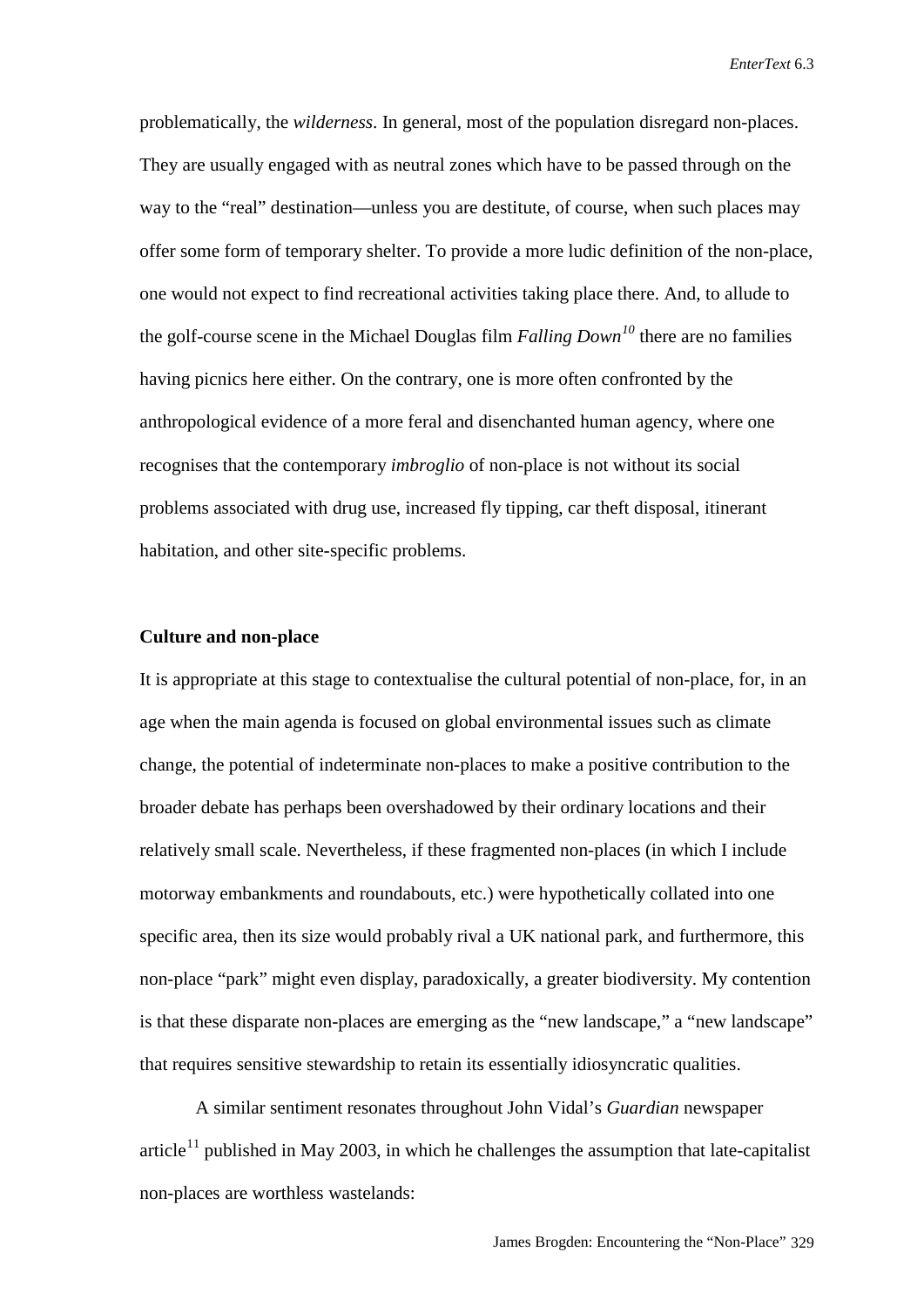problematically, the *wilderness*. In general, most of the population disregard non-places. They are usually engaged with as neutral zones which have to be passed through on the way to the "real" destination—unless you are destitute, of course, when such places may offer some form of temporary shelter. To provide a more ludic definition of the non-place, one would not expect to find recreational activities taking place there. And, to allude to the golf-course scene in the Michael Douglas film *Falling Down[10](#page-16-7)* there are no families having picnics here either. On the contrary, one is more often confronted by the anthropological evidence of a more feral and disenchanted human agency, where one recognises that the contemporary *imbroglio* of non-place is not without its social problems associated with drug use, increased fly tipping, car theft disposal, itinerant habitation, and other site-specific problems.

#### **Culture and non-place**

It is appropriate at this stage to contextualise the cultural potential of non-place, for, in an age when the main agenda is focused on global environmental issues such as climate change, the potential of indeterminate non-places to make a positive contribution to the broader debate has perhaps been overshadowed by their ordinary locations and their relatively small scale. Nevertheless, if these fragmented non-places (in which I include motorway embankments and roundabouts, etc.) were hypothetically collated into one specific area, then its size would probably rival a UK national park, and furthermore, this non-place "park" might even display, paradoxically, a greater biodiversity. My contention is that these disparate non-places are emerging as the "new landscape," a "new landscape" that requires sensitive stewardship to retain its essentially idiosyncratic qualities.

A similar sentiment resonates throughout John Vidal's *Guardian* newspaper article<sup>[11](#page-16-8)</sup> published in May 2003, in which he challenges the assumption that late-capitalist non-places are worthless wastelands: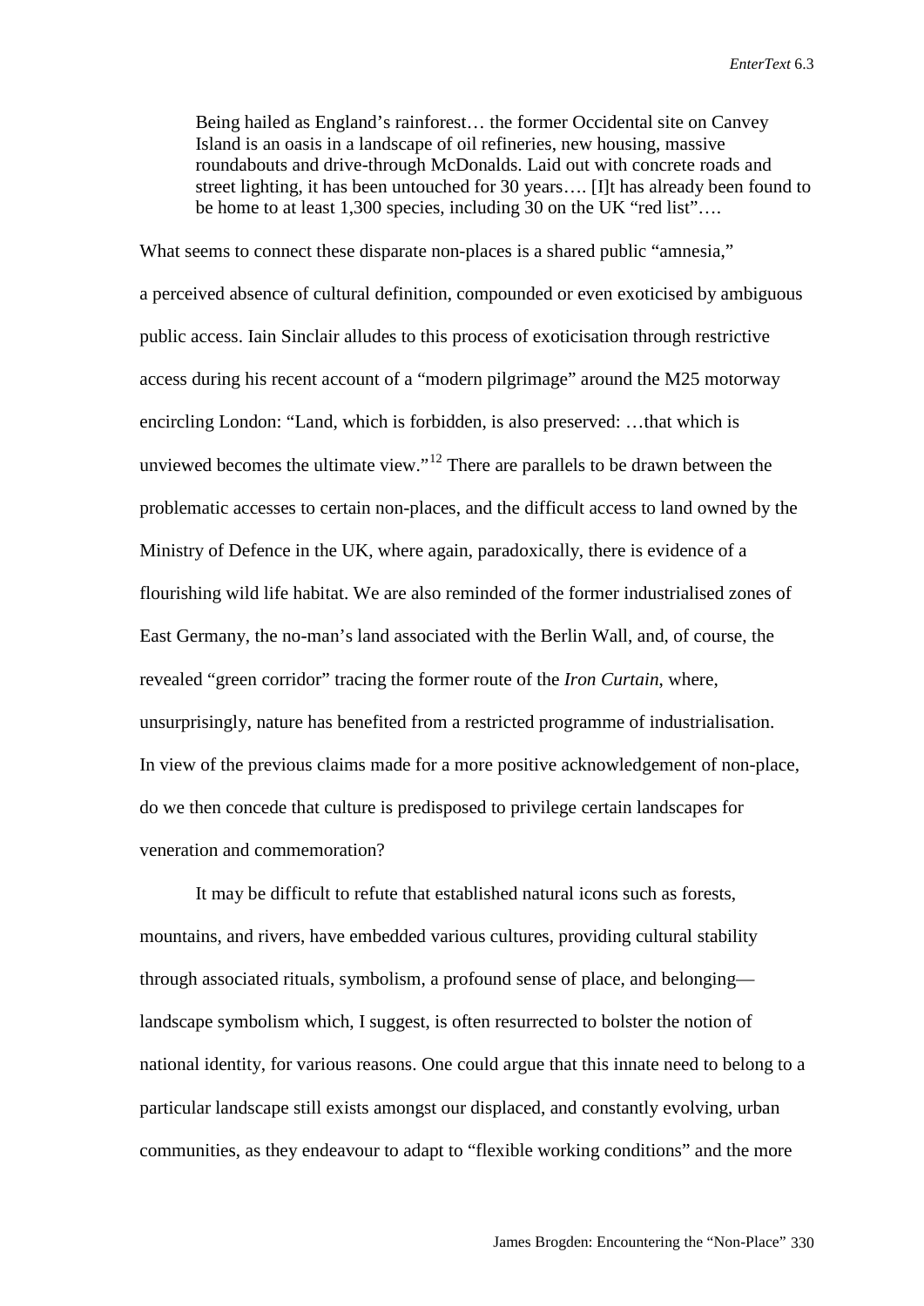Being hailed as England's rainforest… the former Occidental site on Canvey Island is an oasis in a landscape of oil refineries, new housing, massive roundabouts and drive-through McDonalds. Laid out with concrete roads and street lighting, it has been untouched for 30 years…. [I]t has already been found to be home to at least 1,300 species, including 30 on the UK "red list"….

What seems to connect these disparate non-places is a shared public "amnesia," a perceived absence of cultural definition, compounded or even exoticised by ambiguous public access. Iain Sinclair alludes to this process of exoticisation through restrictive access during his recent account of a "modern pilgrimage" around the M25 motorway encircling London: "Land, which is forbidden, is also preserved: …that which is unviewed becomes the ultimate view."[12](#page-16-9) There are parallels to be drawn between the problematic accesses to certain non-places, and the difficult access to land owned by the Ministry of Defence in the UK, where again, paradoxically, there is evidence of a flourishing wild life habitat. We are also reminded of the former industrialised zones of East Germany, the no-man's land associated with the Berlin Wall, and, of course, the revealed "green corridor" tracing the former route of the *Iron Curtain*, where, unsurprisingly, nature has benefited from a restricted programme of industrialisation. In view of the previous claims made for a more positive acknowledgement of non-place, do we then concede that culture is predisposed to privilege certain landscapes for veneration and commemoration?

It may be difficult to refute that established natural icons such as forests, mountains, and rivers, have embedded various cultures, providing cultural stability through associated rituals, symbolism, a profound sense of place, and belonging landscape symbolism which, I suggest, is often resurrected to bolster the notion of national identity, for various reasons. One could argue that this innate need to belong to a particular landscape still exists amongst our displaced, and constantly evolving, urban communities, as they endeavour to adapt to "flexible working conditions" and the more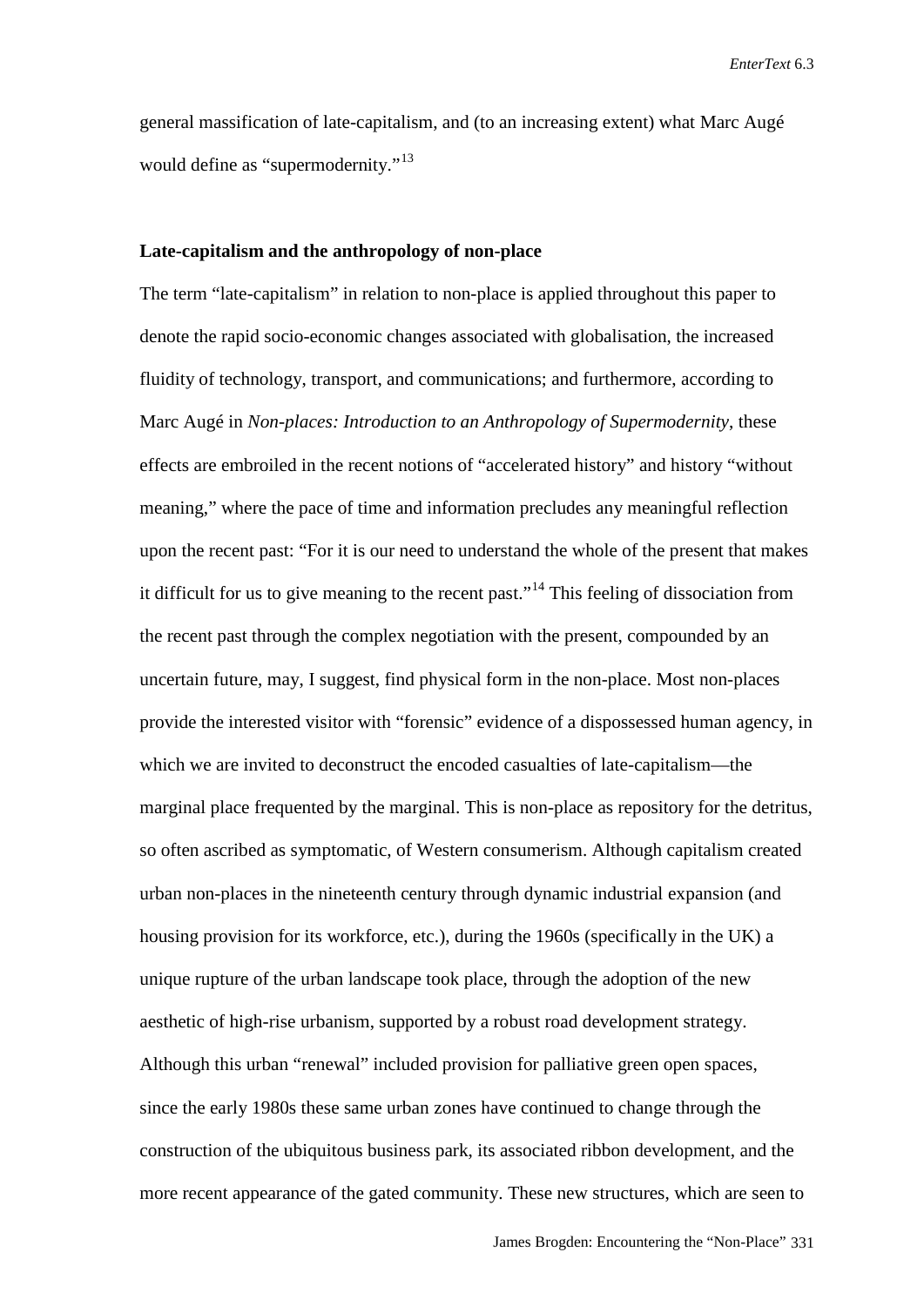general massification of late-capitalism, and (to an increasing extent) what Marc Augé would define as "supermodernity."<sup>[13](#page-16-10)</sup>

#### **Late-capitalism and the anthropology of non-place**

The term "late-capitalism" in relation to non-place is applied throughout this paper to denote the rapid socio-economic changes associated with globalisation, the increased fluidity of technology, transport, and communications; and furthermore, according to Marc Augé in *Non-places: Introduction to an Anthropology of Supermodernity*, these effects are embroiled in the recent notions of "accelerated history" and history "without meaning," where the pace of time and information precludes any meaningful reflection upon the recent past: "For it is our need to understand the whole of the present that makes it difficult for us to give meaning to the recent past."<sup>[14](#page-16-11)</sup> This feeling of dissociation from the recent past through the complex negotiation with the present, compounded by an uncertain future, may, I suggest, find physical form in the non-place. Most non-places provide the interested visitor with "forensic" evidence of a dispossessed human agency, in which we are invited to deconstruct the encoded casualties of late-capitalism—the marginal place frequented by the marginal. This is non-place as repository for the detritus, so often ascribed as symptomatic, of Western consumerism. Although capitalism created urban non-places in the nineteenth century through dynamic industrial expansion (and housing provision for its workforce, etc.), during the 1960s (specifically in the UK) a unique rupture of the urban landscape took place, through the adoption of the new aesthetic of high-rise urbanism, supported by a robust road development strategy. Although this urban "renewal" included provision for palliative green open spaces, since the early 1980s these same urban zones have continued to change through the construction of the ubiquitous business park, its associated ribbon development, and the more recent appearance of the gated community. These new structures, which are seen to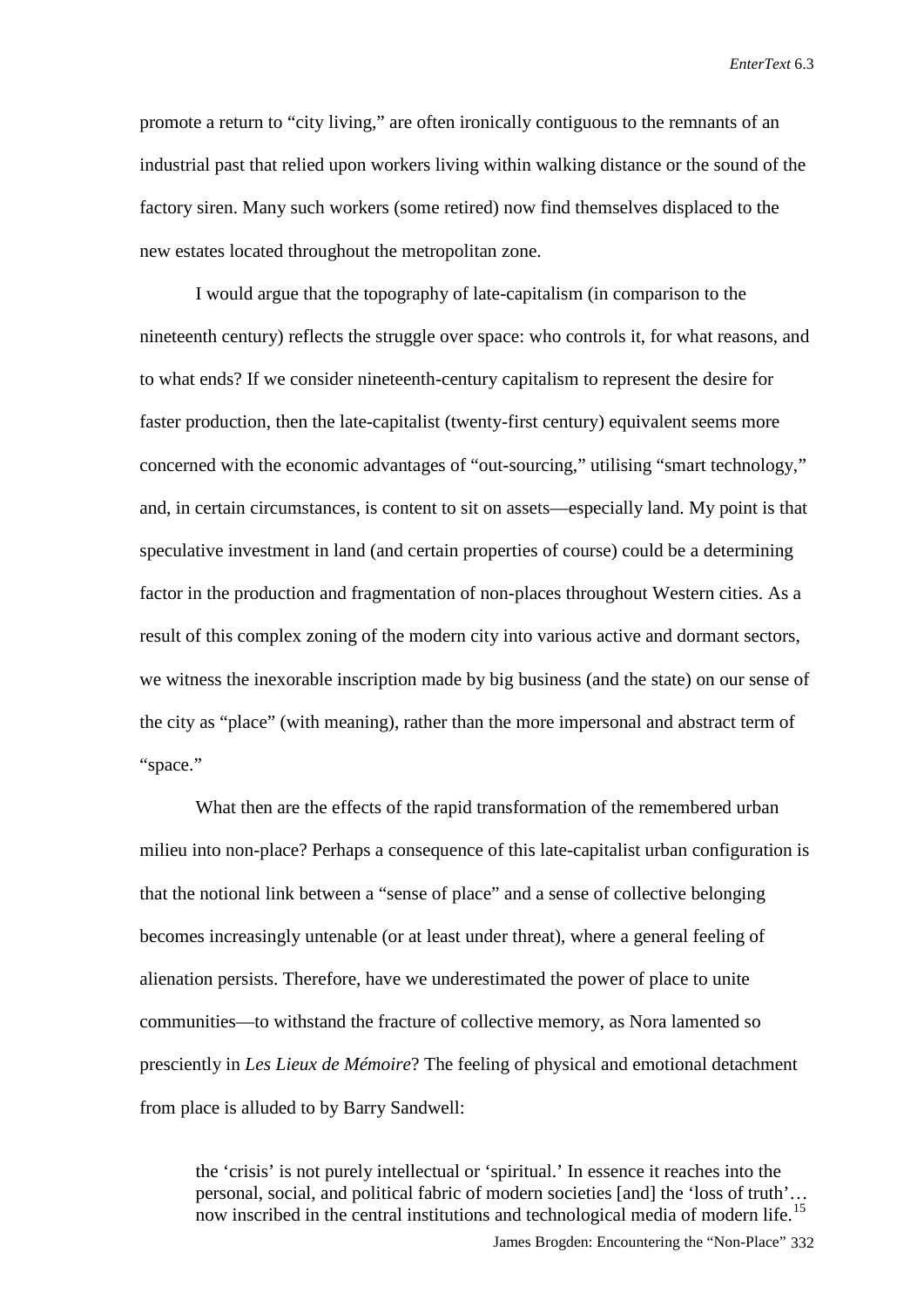promote a return to "city living," are often ironically contiguous to the remnants of an industrial past that relied upon workers living within walking distance or the sound of the factory siren. Many such workers (some retired) now find themselves displaced to the new estates located throughout the metropolitan zone.

I would argue that the topography of late-capitalism (in comparison to the nineteenth century) reflects the struggle over space: who controls it, for what reasons, and to what ends? If we consider nineteenth-century capitalism to represent the desire for faster production, then the late-capitalist (twenty-first century) equivalent seems more concerned with the economic advantages of "out-sourcing," utilising "smart technology," and, in certain circumstances, is content to sit on assets—especially land. My point is that speculative investment in land (and certain properties of course) could be a determining factor in the production and fragmentation of non-places throughout Western cities. As a result of this complex zoning of the modern city into various active and dormant sectors, we witness the inexorable inscription made by big business (and the state) on our sense of the city as "place" (with meaning), rather than the more impersonal and abstract term of "space."

What then are the effects of the rapid transformation of the remembered urban milieu into non-place? Perhaps a consequence of this late-capitalist urban configuration is that the notional link between a "sense of place" and a sense of collective belonging becomes increasingly untenable (or at least under threat), where a general feeling of alienation persists. Therefore, have we underestimated the power of place to unite communities—to withstand the fracture of collective memory, as Nora lamented so presciently in *Les Lieux de Mémoire*? The feeling of physical and emotional detachment from place is alluded to by Barry Sandwell:

the 'crisis' is not purely intellectual or 'spiritual.' In essence it reaches into the personal, social, and political fabric of modern societies [and] the 'loss of truth'… now inscribed in the central institutions and technological media of modern life.[15](#page-16-12)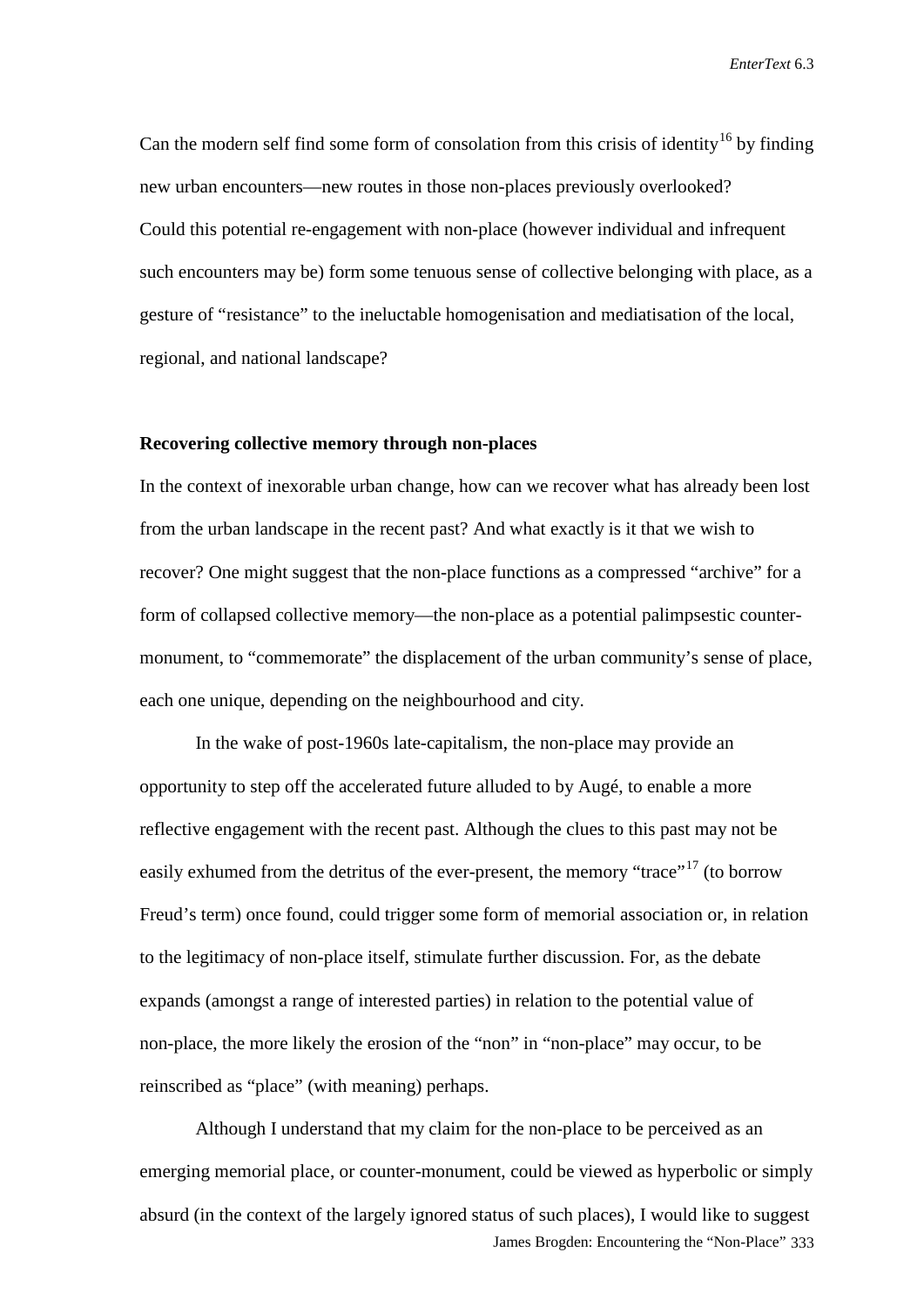Can the modern self find some form of consolation from this crisis of identity<sup>[16](#page-16-13)</sup> by finding new urban encounters—new routes in those non-places previously overlooked? Could this potential re-engagement with non-place (however individual and infrequent such encounters may be) form some tenuous sense of collective belonging with place, as a gesture of "resistance" to the ineluctable homogenisation and mediatisation of the local, regional, and national landscape?

#### **Recovering collective memory through non-places**

In the context of inexorable urban change, how can we recover what has already been lost from the urban landscape in the recent past? And what exactly is it that we wish to recover? One might suggest that the non-place functions as a compressed "archive" for a form of collapsed collective memory—the non-place as a potential palimpsestic countermonument, to "commemorate" the displacement of the urban community's sense of place, each one unique, depending on the neighbourhood and city.

In the wake of post-1960s late-capitalism, the non-place may provide an opportunity to step off the accelerated future alluded to by Augé, to enable a more reflective engagement with the recent past. Although the clues to this past may not be easily exhumed from the detritus of the ever-present, the memory "trace"<sup>[17](#page-16-14)</sup> (to borrow Freud's term) once found, could trigger some form of memorial association or, in relation to the legitimacy of non-place itself, stimulate further discussion. For, as the debate expands (amongst a range of interested parties) in relation to the potential value of non-place, the more likely the erosion of the "non" in "non-place" may occur, to be reinscribed as "place" (with meaning) perhaps.

James Brogden: Encountering the "Non-Place" 333 Although I understand that my claim for the non-place to be perceived as an emerging memorial place, or counter-monument, could be viewed as hyperbolic or simply absurd (in the context of the largely ignored status of such places), I would like to suggest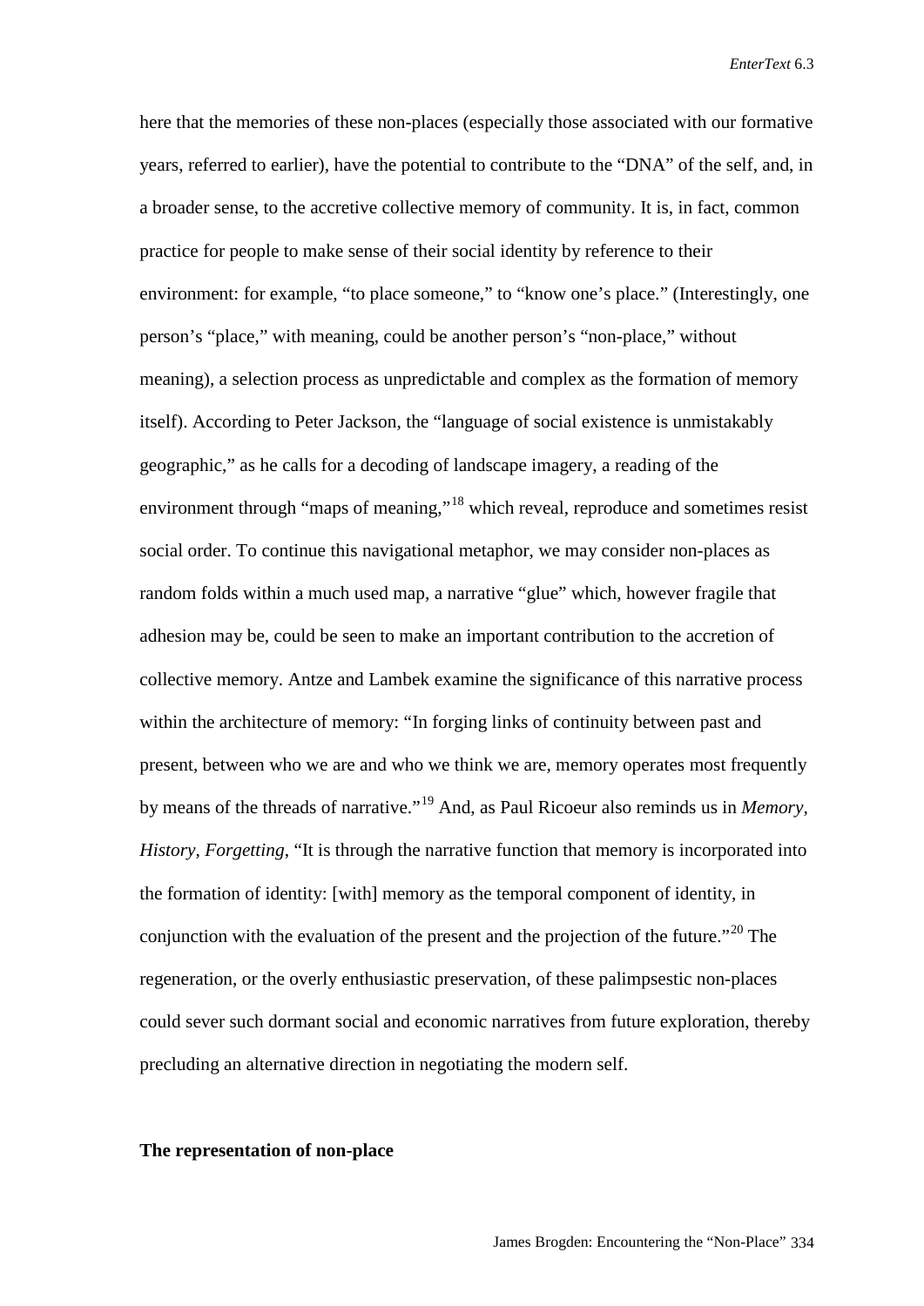here that the memories of these non-places (especially those associated with our formative years, referred to earlier), have the potential to contribute to the "DNA" of the self, and, in a broader sense, to the accretive collective memory of community. It is, in fact, common practice for people to make sense of their social identity by reference to their environment: for example, "to place someone," to "know one's place." (Interestingly, one person's "place," with meaning, could be another person's "non-place," without meaning), a selection process as unpredictable and complex as the formation of memory itself). According to Peter Jackson, the "language of social existence is unmistakably geographic," as he calls for a decoding of landscape imagery, a reading of the environment through "maps of meaning,"<sup>[18](#page-16-15)</sup> which reveal, reproduce and sometimes resist social order. To continue this navigational metaphor, we may consider non-places as random folds within a much used map, a narrative "glue" which, however fragile that adhesion may be, could be seen to make an important contribution to the accretion of collective memory. Antze and Lambek examine the significance of this narrative process within the architecture of memory: "In forging links of continuity between past and present, between who we are and who we think we are, memory operates most frequently by means of the threads of narrative."[19](#page-16-16) And, as Paul Ricoeur also reminds us in *Memory, History, Forgetting*, "It is through the narrative function that memory is incorporated into the formation of identity: [with] memory as the temporal component of identity, in conjunction with the evaluation of the present and the projection of the future."<sup>[20](#page-16-17)</sup> The regeneration, or the overly enthusiastic preservation, of these palimpsestic non-places could sever such dormant social and economic narratives from future exploration, thereby precluding an alternative direction in negotiating the modern self.

#### **The representation of non-place**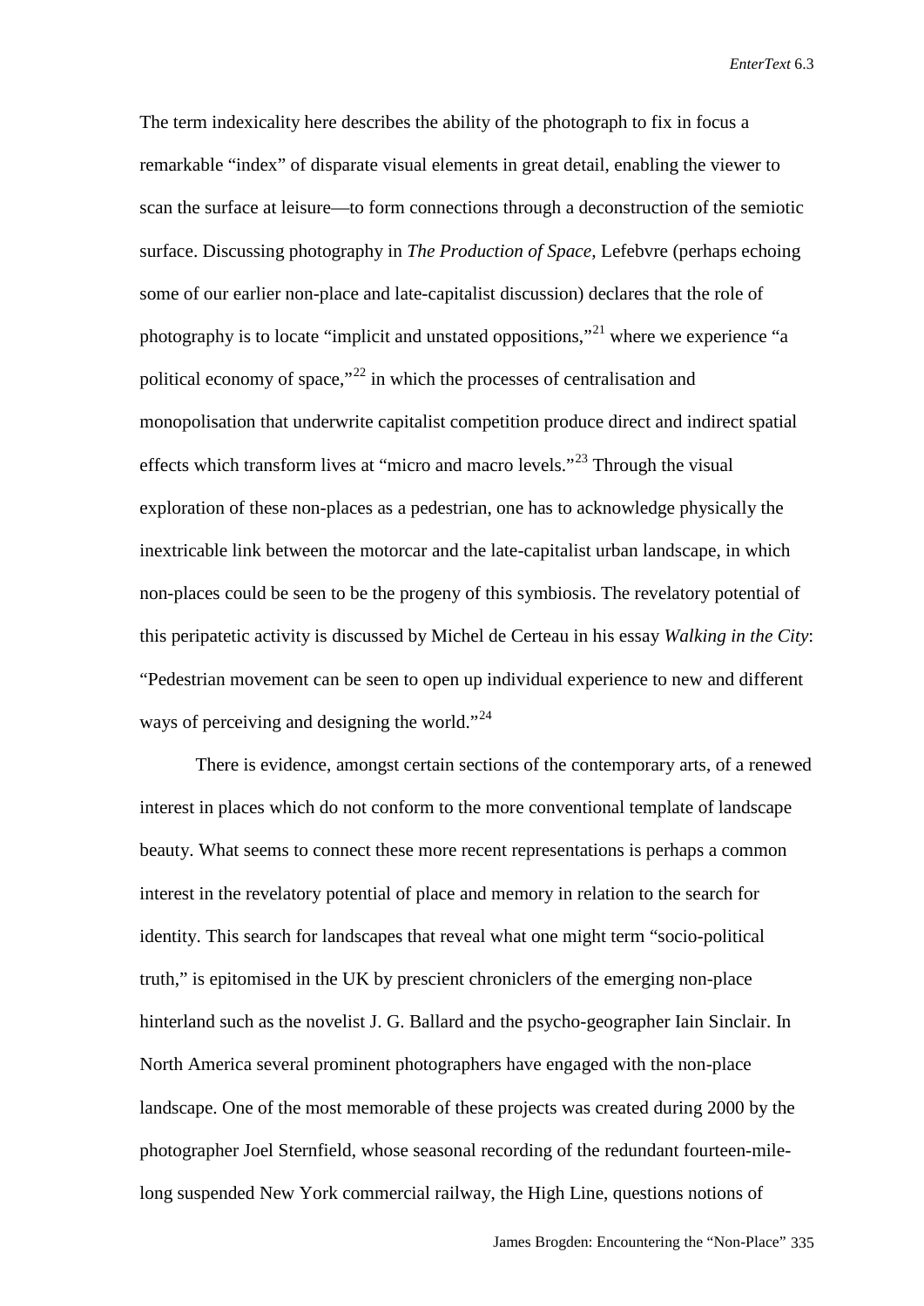The term indexicality here describes the ability of the photograph to fix in focus a remarkable "index" of disparate visual elements in great detail, enabling the viewer to scan the surface at leisure—to form connections through a deconstruction of the semiotic surface. Discussing photography in *The Production of Space,* Lefebvre (perhaps echoing some of our earlier non-place and late-capitalist discussion) declares that the role of photography is to locate "implicit and unstated oppositions,"[21](#page-16-18) where we experience "a political economy of space,"[22](#page-16-19) in which the processes of centralisation and monopolisation that underwrite capitalist competition produce direct and indirect spatial effects which transform lives at "micro and macro levels."<sup>[23](#page-16-20)</sup> Through the visual exploration of these non-places as a pedestrian, one has to acknowledge physically the inextricable link between the motorcar and the late-capitalist urban landscape, in which non-places could be seen to be the progeny of this symbiosis. The revelatory potential of this peripatetic activity is discussed by Michel de Certeau in his essay *Walking in the City*: "Pedestrian movement can be seen to open up individual experience to new and different ways of perceiving and designing the world."<sup>[24](#page-16-21)</sup>

There is evidence, amongst certain sections of the contemporary arts, of a renewed interest in places which do not conform to the more conventional template of landscape beauty. What seems to connect these more recent representations is perhaps a common interest in the revelatory potential of place and memory in relation to the search for identity. This search for landscapes that reveal what one might term "socio-political truth," is epitomised in the UK by prescient chroniclers of the emerging non-place hinterland such as the novelist J. G. Ballard and the psycho-geographer Iain Sinclair. In North America several prominent photographers have engaged with the non-place landscape. One of the most memorable of these projects was created during 2000 by the photographer Joel Sternfield, whose seasonal recording of the redundant fourteen-milelong suspended New York commercial railway, the High Line, questions notions of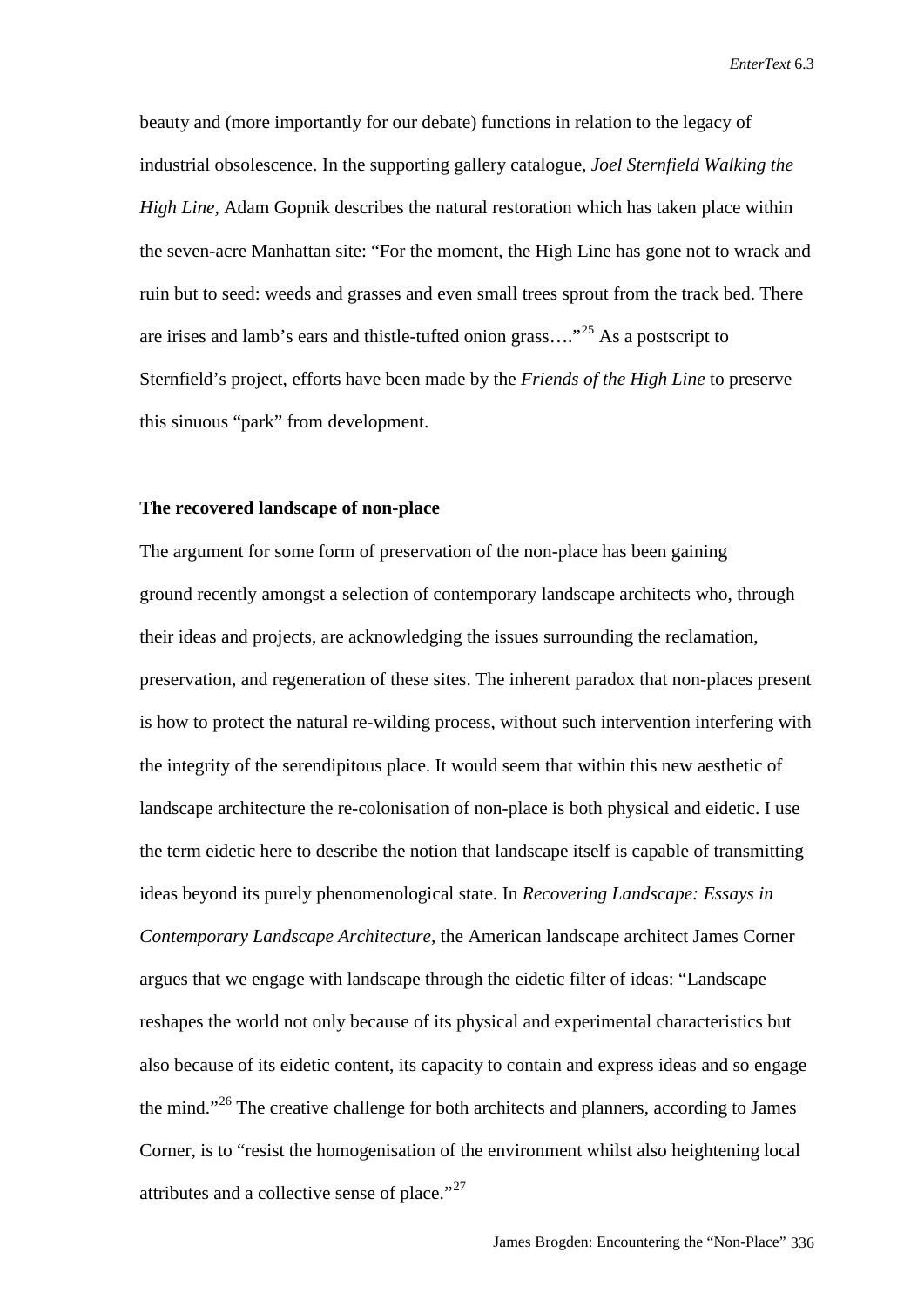beauty and (more importantly for our debate) functions in relation to the legacy of industrial obsolescence. In the supporting gallery catalogue, *Joel Sternfield Walking the High Line,* Adam Gopnik describes the natural restoration which has taken place within the seven-acre Manhattan site: "For the moment, the High Line has gone not to wrack and ruin but to seed: weeds and grasses and even small trees sprout from the track bed. There are irises and lamb's ears and thistle-tufted onion grass...."<sup>[25](#page-16-22)</sup> As a postscript to Sternfield's project, efforts have been made by the *Friends of the High Line* to preserve this sinuous "park" from development.

#### **The recovered landscape of non-place**

The argument for some form of preservation of the non-place has been gaining ground recently amongst a selection of contemporary landscape architects who, through their ideas and projects, are acknowledging the issues surrounding the reclamation, preservation, and regeneration of these sites. The inherent paradox that non-places present is how to protect the natural re-wilding process, without such intervention interfering with the integrity of the serendipitous place. It would seem that within this new aesthetic of landscape architecture the re-colonisation of non-place is both physical and eidetic. I use the term eidetic here to describe the notion that landscape itself is capable of transmitting ideas beyond its purely phenomenological state. In *Recovering Landscape: Essays in Contemporary Landscape Architecture,* the American landscape architect James Corner argues that we engage with landscape through the eidetic filter of ideas: "Landscape reshapes the world not only because of its physical and experimental characteristics but also because of its eidetic content, its capacity to contain and express ideas and so engage the mind."[26](#page-16-23) The creative challenge for both architects and planners, according to James Corner, is to "resist the homogenisation of the environment whilst also heightening local attributes and a collective sense of place."<sup>[27](#page-16-24)</sup>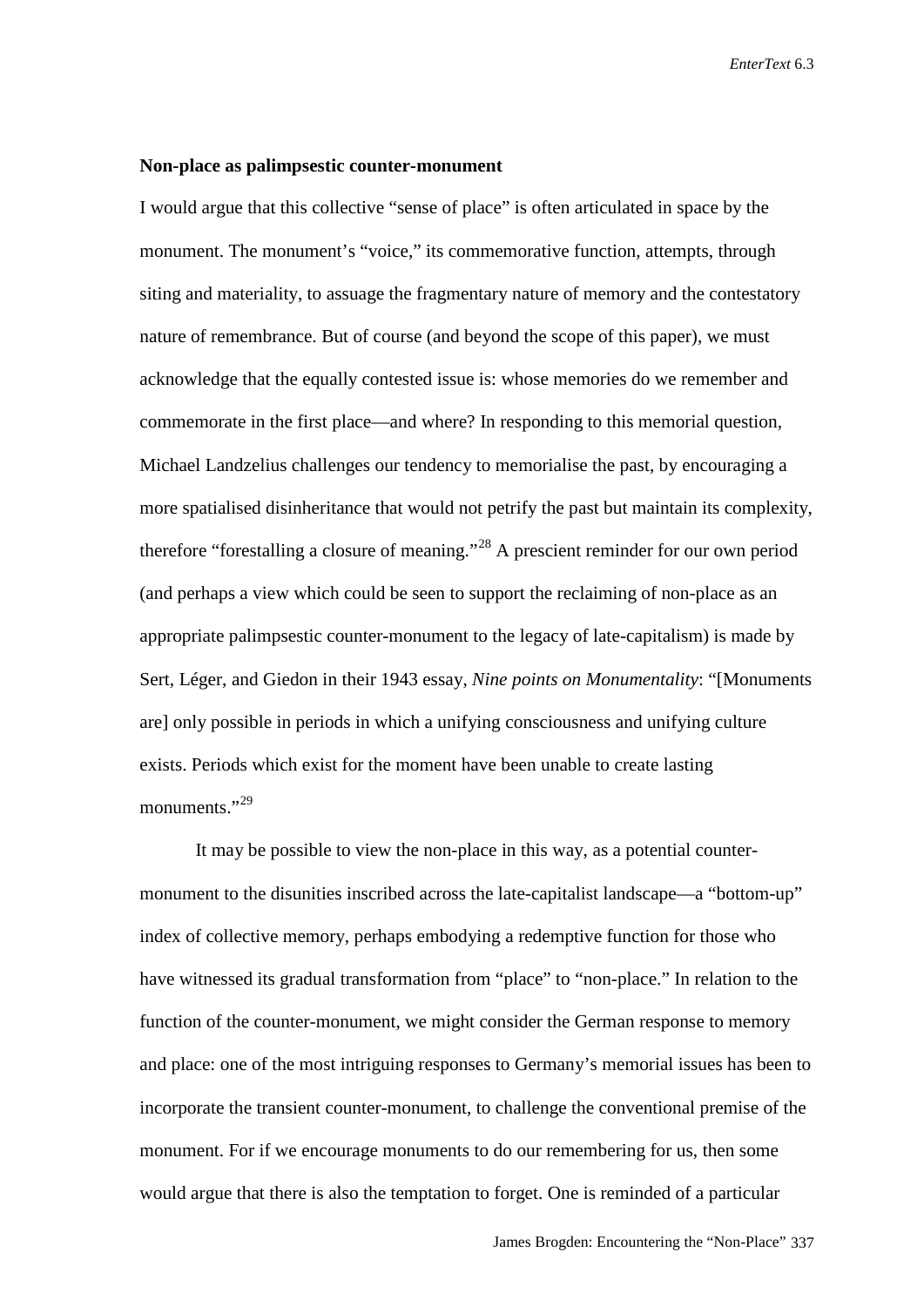#### **Non-place as palimpsestic counter-monument**

I would argue that this collective "sense of place" is often articulated in space by the monument. The monument's "voice," its commemorative function, attempts, through siting and materiality, to assuage the fragmentary nature of memory and the contestatory nature of remembrance. But of course (and beyond the scope of this paper), we must acknowledge that the equally contested issue is: whose memories do we remember and commemorate in the first place—and where? In responding to this memorial question, Michael Landzelius challenges our tendency to memorialise the past, by encouraging a more spatialised disinheritance that would not petrify the past but maintain its complexity, therefore "forestalling a closure of meaning."[28](#page-16-25) A prescient reminder for our own period (and perhaps a view which could be seen to support the reclaiming of non-place as an appropriate palimpsestic counter-monument to the legacy of late-capitalism) is made by Sert, Léger, and Giedon in their 1943 essay, *Nine points on Monumentality*: "[Monuments are] only possible in periods in which a unifying consciousness and unifying culture exists. Periods which exist for the moment have been unable to create lasting monuments."<sup>[29](#page-16-26)</sup>

It may be possible to view the non-place in this way, as a potential countermonument to the disunities inscribed across the late-capitalist landscape—a "bottom-up" index of collective memory, perhaps embodying a redemptive function for those who have witnessed its gradual transformation from "place" to "non-place." In relation to the function of the counter-monument, we might consider the German response to memory and place: one of the most intriguing responses to Germany's memorial issues has been to incorporate the transient counter-monument, to challenge the conventional premise of the monument. For if we encourage monuments to do our remembering for us, then some would argue that there is also the temptation to forget. One is reminded of a particular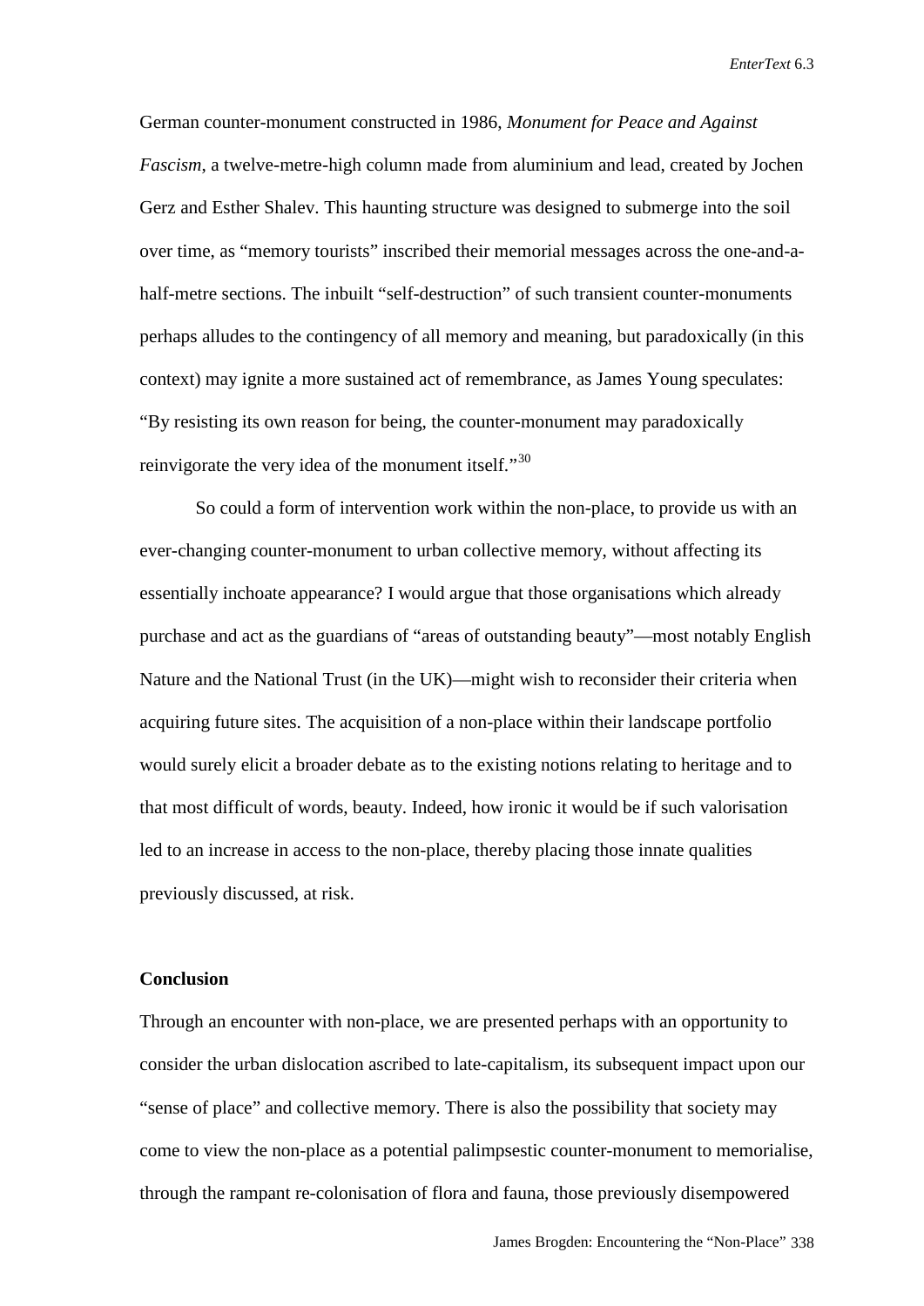German counter-monument constructed in 1986, *Monument for Peace and Against Fascism*, a twelve-metre-high column made from aluminium and lead, created by Jochen Gerz and Esther Shalev. This haunting structure was designed to submerge into the soil over time, as "memory tourists" inscribed their memorial messages across the one-and-ahalf-metre sections. The inbuilt "self-destruction" of such transient counter-monuments perhaps alludes to the contingency of all memory and meaning, but paradoxically (in this context) may ignite a more sustained act of remembrance, as James Young speculates: "By resisting its own reason for being, the counter-monument may paradoxically reinvigorate the very idea of the monument itself."<sup>[30](#page-16-27)</sup>

So could a form of intervention work within the non-place, to provide us with an ever-changing counter-monument to urban collective memory, without affecting its essentially inchoate appearance? I would argue that those organisations which already purchase and act as the guardians of "areas of outstanding beauty"—most notably English Nature and the National Trust (in the UK)—might wish to reconsider their criteria when acquiring future sites. The acquisition of a non-place within their landscape portfolio would surely elicit a broader debate as to the existing notions relating to heritage and to that most difficult of words, beauty. Indeed, how ironic it would be if such valorisation led to an increase in access to the non-place, thereby placing those innate qualities previously discussed, at risk.

#### **Conclusion**

Through an encounter with non-place, we are presented perhaps with an opportunity to consider the urban dislocation ascribed to late-capitalism, its subsequent impact upon our "sense of place" and collective memory. There is also the possibility that society may come to view the non-place as a potential palimpsestic counter-monument to memorialise, through the rampant re-colonisation of flora and fauna, those previously disempowered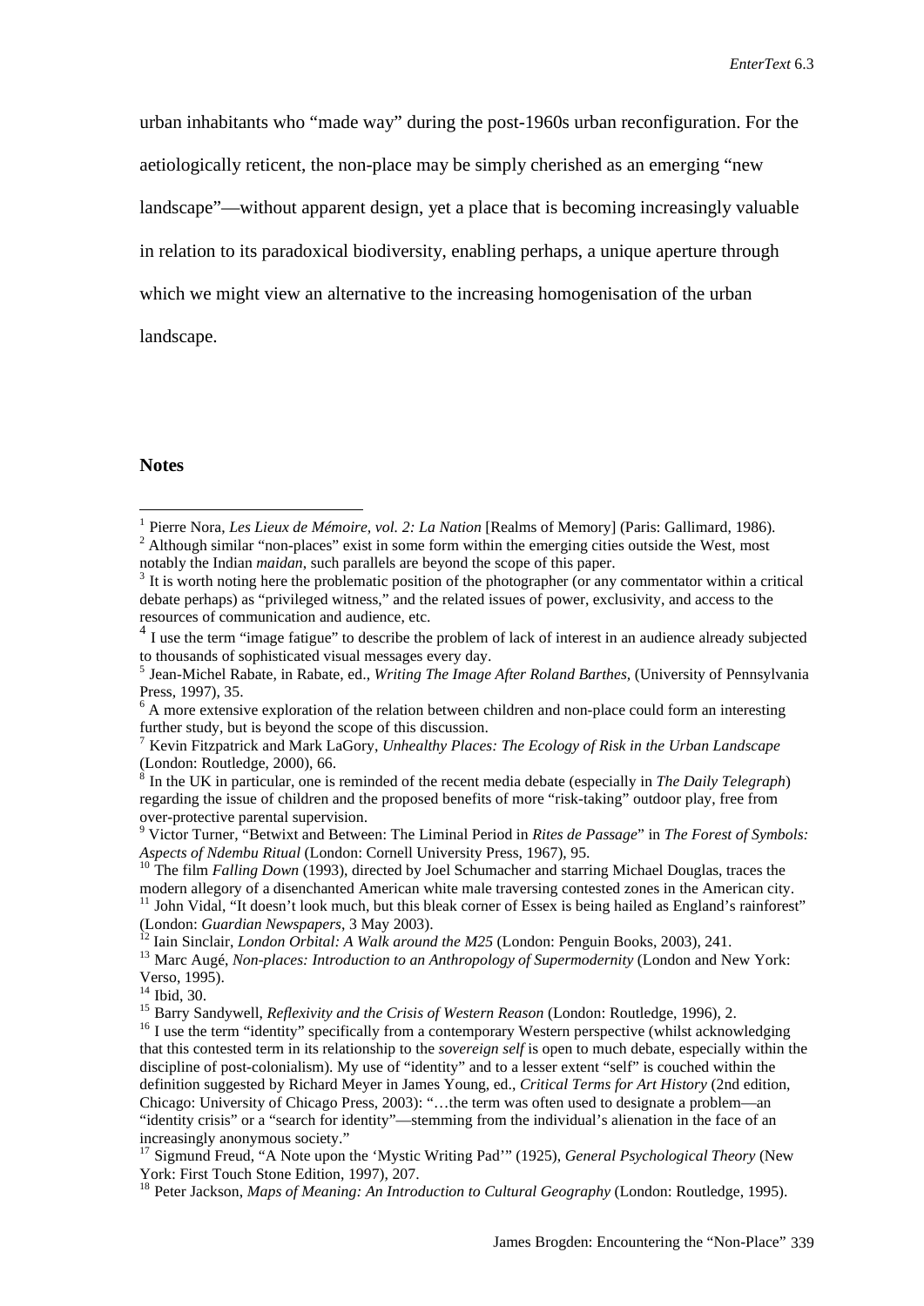urban inhabitants who "made way" during the post-1960s urban reconfiguration. For the aetiologically reticent, the non-place may be simply cherished as an emerging "new landscape"—without apparent design, yet a place that is becoming increasingly valuable in relation to its paradoxical biodiversity, enabling perhaps, a unique aperture through which we might view an alternative to the increasing homogenisation of the urban landscape.

#### **Notes**

<span id="page-15-0"></span><sup>&</sup>lt;sup>1</sup> Pierre Nora, *Les Lieux de Mémoire, vol. 2: La Nation* [Realms of Memory] (Paris: Gallimard, 1986). <sup>2</sup> Although similar "non-places" exist in some form within the emerging cities outside the West, most

<span id="page-15-1"></span>notably the Indian *maidan*, such parallels are beyond the scope of this paper.<br><sup>3</sup> It is worth noting here the problematic position of the photographer (or any commentator within a critical debate perhaps) as "privileged witness," and the related issues of power, exclusivity, and access to the resources of communication and audience, etc.

 $4$  I use the term "image fatigue" to describe the problem of lack of interest in an audience already subjected to thousands of sophisticated visual messages every day.

<sup>&</sup>lt;sup>5</sup> Jean-Michel Rabate, in Rabate, ed., *Writing The Image After Roland Barthes*, (University of Pennsylvania Press, 1997), 35.

<sup>&</sup>lt;sup>6</sup> A more extensive exploration of the relation between children and non-place could form an interesting further study, but is beyond the scope of this discussion.

<sup>7</sup> Kevin Fitzpatrick and Mark LaGory, *Unhealthy Places: The Ecology of Risk in the Urban Landscape* (London: Routledge, 2000), 66.

<sup>8</sup> In the UK in particular, one is reminded of the recent media debate (especially in *The Daily Telegraph*) regarding the issue of children and the proposed benefits of more "risk-taking" outdoor play, free from

over-protective parental supervision.<br><sup>9</sup> Victor Turner, "Betwixt and Between: The Liminal Period in *Rites de Passage*" in *The Forest of Symbols: Aspects of Ndembu Ritual* (London: Cornell University Press, 1967), 95.

<sup>&</sup>lt;sup>10</sup> The film *Falling Down* (1993), directed by Joel Schumacher and starring Michael Douglas, traces the modern allegory of a disenchanted American white male traversing contested zones in the American city. <sup>11</sup> John Vidal, "It doesn't look much, but this bleak corner of Essex is being hailed as England's rainforest"<br>(London: *Guardian Newspapers*, 3 May 2003).

<sup>&</sup>lt;sup>12</sup> Iain Sinclair, *London Orbital: A Walk around the M25* (London: Penguin Books, 2003), 241.<br><sup>13</sup> Marc Augé, *Non-places: Introduction to an Anthropology of Supermodernity* (London and New York: Verso, 1995).

<sup>&</sup>lt;sup>14</sup> Ibid, 30.<br><sup>15</sup> Barry Sandywell, *Reflexivity and the Crisis of Western Reason* (London: Routledge, 1996), 2.<br><sup>15</sup> I use the term "identity" specifically from a contemporary Western perspective (whilst acknowledging that this contested term in its relationship to the *sovereign self* is open to much debate, especially within the discipline of post-colonialism). My use of "identity" and to a lesser extent "self" is couched within the definition suggested by Richard Meyer in James Young, ed., *Critical Terms for Art History* (2nd edition, Chicago: University of Chicago Press, 2003): "…the term was often used to designate a problem—an "identity crisis" or a "search for identity"—stemming from the individual's alienation in the face of an increasingly anonymous society."

<sup>&</sup>lt;sup>17</sup> Sigmund Freud, "A Note upon the 'Mystic Writing Pad'" (1925), *General Psychological Theory* (New York: First Touch Stone Edition, 1997), 207.

<sup>&</sup>lt;sup>18</sup> Peter Jackson, *Maps of Meaning: An Introduction to Cultural Geography* (London: Routledge, 1995).